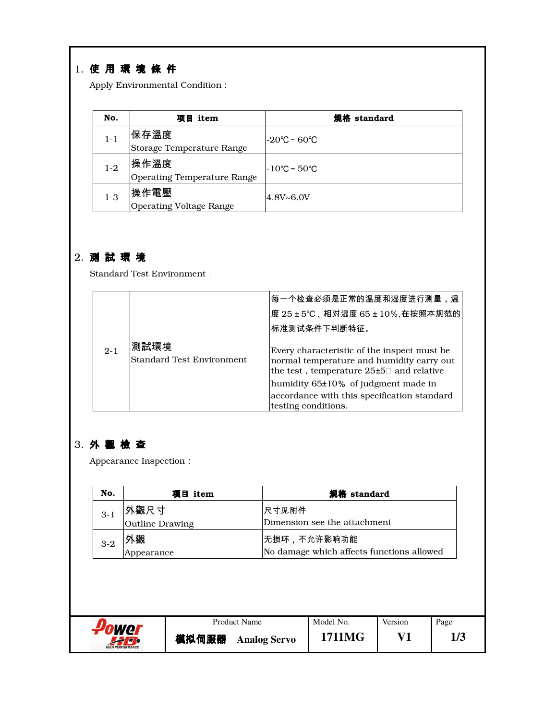# 1. 使 用 環 境 條 件

Apply Environmental Condition:

| No.     | 项目 item                                    | 规格 standard                       |
|---------|--------------------------------------------|-----------------------------------|
| $1 - 1$ | 保存溫度<br>Storage Temperature Range          | $-20^{\circ}$ C ~ 60 $^{\circ}$ C |
| $1-2$   | 操作溫度<br><b>Operating Temperature Range</b> | l-10℃~50℃                         |
| $1-3$   | 操作電壓<br><b>Operating Voltage Range</b>     | $4.8V - 6.0V$                     |

#### 2. 測 試 環 境

Standard Test Environment:

|         |                                          | <sup> </sup> 每一个检查必须是正常的温度和湿度进行测量,温                                                                                                                                                                                            |
|---------|------------------------------------------|--------------------------------------------------------------------------------------------------------------------------------------------------------------------------------------------------------------------------------|
|         |                                          | 度 25±5℃,相对湿度 65±10%,在按照本规范的                                                                                                                                                                                                    |
|         |                                          | 标准测试条件下判断特征。                                                                                                                                                                                                                   |
| $2 - 1$ | 測試環境<br><b>Standard Test Environment</b> | Every characteristic of the inspect must be<br>normal temperature and humidity carry out<br>the test, temperature 25±5 and relative<br>humidity $65\pm10\%$ of judgment made in<br>accordance with this specification standard |
|         |                                          | testing conditions.                                                                                                                                                                                                            |

## 3. 外 觀 檢 查

Appearance Inspection:

| No.     |                 | 规格 standard<br>项目 item |                     |                                           |         |      |  |
|---------|-----------------|------------------------|---------------------|-------------------------------------------|---------|------|--|
| $3 - 1$ | 外觀尺寸            |                        | 尺寸见附件               |                                           |         |      |  |
|         | Outline Drawing |                        |                     | Dimension see the attachment              |         |      |  |
| $3-2$   | 外觀              |                        |                     | 无损坏,不允许影响功能                               |         |      |  |
|         | Appearance      |                        |                     | No damage which affects functions allowed |         |      |  |
|         |                 |                        |                     |                                           |         |      |  |
|         | ower            |                        | <b>Product Name</b> | Model No.                                 | Version | Page |  |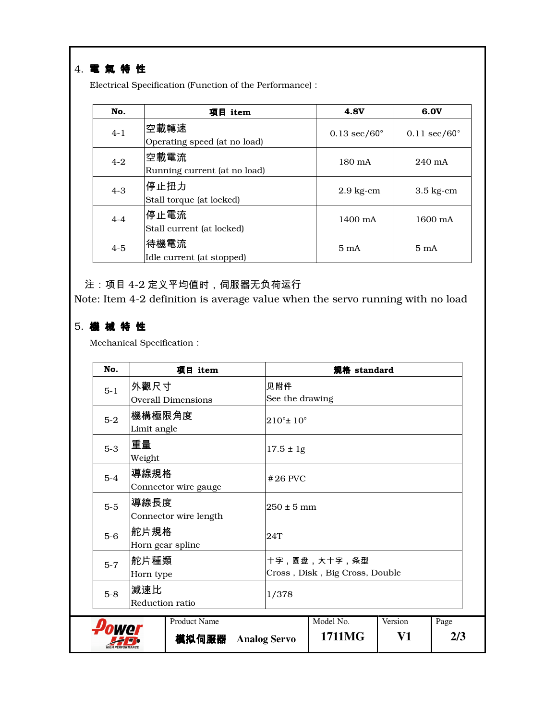#### 4. 電 氣 特 性

Electrical Specification (Function of the Performance):

| No.     | 项目 item                              | <b>4.8V</b>                   | 6.0V                          |
|---------|--------------------------------------|-------------------------------|-------------------------------|
| $4 - 1$ | 空載轉速<br>Operating speed (at no load) | $0.13 \text{ sec}/60^{\circ}$ | $0.11 \text{ sec}/60^{\circ}$ |
| $4 - 2$ | 空載電流<br>Running current (at no load) | $180 \text{ mA}$              | $240 \text{ mA}$              |
| $4 - 3$ | 停止扭力<br>Stall torque (at locked)     | $2.9$ kg-cm                   | $3.5 \text{ kg-cm}$           |
| $4 - 4$ | 停止電流<br>Stall current (at locked)    | 1400 mA                       | 1600 mA                       |
| $4 - 5$ | 待機電流<br>Idle current (at stopped)    | $5 \text{ mA}$                | $5 \text{ mA}$                |

注:项目 4-2 定义平均值时,伺服器无负荷运行

Note: Item 4-2 definition is average value when the servo running with no load

#### 5. 機 械 特 性

Mechanical Specification:

| No.     |                           | 项目 item                   |                                | 规格 standard                  |           |         |      |  |
|---------|---------------------------|---------------------------|--------------------------------|------------------------------|-----------|---------|------|--|
| $5 - 1$ | 外觀尺寸                      |                           |                                | 见附件                          |           |         |      |  |
|         |                           | <b>Overall Dimensions</b> |                                | See the drawing              |           |         |      |  |
| $5-2$   | 機構極限角度                    |                           |                                | $210^{\circ}$ ± $10^{\circ}$ |           |         |      |  |
|         | Limit angle               |                           |                                |                              |           |         |      |  |
| $5-3$   | 重量                        |                           |                                | $17.5 \pm 1g$                |           |         |      |  |
|         | Weight                    |                           |                                |                              |           |         |      |  |
| $5-4$   | 導線規格                      |                           |                                | $#26$ PVC                    |           |         |      |  |
|         |                           | Connector wire gauge      |                                |                              |           |         |      |  |
| $5-5$   | 導線長度                      |                           |                                | $250 \pm 5$ mm               |           |         |      |  |
|         |                           | Connector wire length     |                                |                              |           |         |      |  |
|         | 舵片規格                      |                           |                                |                              |           |         |      |  |
|         | $5-6$<br>Horn gear spline |                           | 24T                            |                              |           |         |      |  |
| $5 - 7$ |                           | 舵片種類                      |                                | 十字,圆盘,大十字,条型                 |           |         |      |  |
|         | Horn type                 |                           | Cross, Disk, Big Cross, Double |                              |           |         |      |  |
| $5-8$   |                           | 減速比<br>Reduction ratio    |                                | 1/378                        |           |         |      |  |
|         |                           |                           |                                |                              |           |         |      |  |
|         |                           | <b>Product Name</b>       |                                |                              | Model No. | Version | Page |  |
|         |                           |                           |                                |                              |           |         |      |  |
|         |                           | 模拟伺服器 Analog Servo        |                                |                              | 1711MG    | V1      | 2/3  |  |